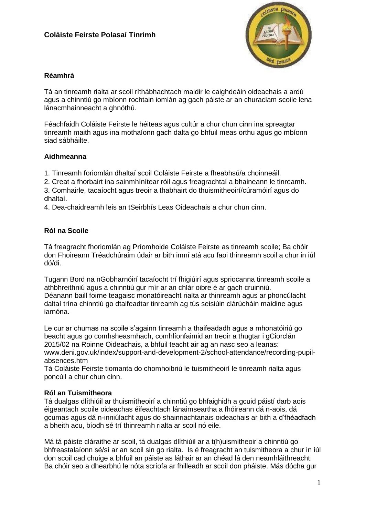# **Coláiste Feirste Polasaí Tinrimh**



## **Réamhrá**

Tá an tinreamh rialta ar scoil ríthábhachtach maidir le caighdeáin oideachais a ardú agus a chinntiú go mbíonn rochtain iomlán ag gach páiste ar an churaclam scoile lena lánacmhainneacht a ghnóthú.

Féachfaidh Coláiste Feirste le héiteas agus cultúr a chur chun cinn ina spreagtar tinreamh maith agus ina mothaíonn gach dalta go bhfuil meas orthu agus go mbíonn siad sábháilte.

#### **Aidhmeanna**

1. Tinreamh foriomlán dhaltaí scoil Coláiste Feirste a fheabhsú/a choinneáil.

2. Creat a fhorbairt ina sainmhínítear róil agus freagrachtaí a bhaineann le tinreamh.

3. Comhairle, tacaíocht agus treoir a thabhairt do thuismitheoirí/cúramóirí agus do dhaltaí.

4. Dea-chaidreamh leis an tSeirbhís Leas Oideachais a chur chun cinn.

## **Ról na Scoile**

Tá freagracht fhoriomlán ag Príomhoide Coláiste Feirste as tinreamh scoile; Ba chóir don Fhoireann Tréadchúraim údair ar bith imní atá acu faoi thinreamh scoil a chur in iúl dó/di.

Tugann Bord na nGobharnóirí tacaíocht trí fhigiúirí agus spriocanna tinreamh scoile a athbhreithniú agus a chinntiú gur mír ar an chlár oibre é ar gach cruinniú. Déanann baill foirne teagaisc monatóireacht rialta ar thinreamh agus ar phoncúlacht daltaí trína chinntiú go dtaifeadtar tinreamh ag tús seisiúin clárúcháin maidine agus iarnóna.

Le cur ar chumas na scoile s'againn tinreamh a thaifeadadh agus a mhonatóiriú go beacht agus go comhsheasmhach, comhlíonfaimid an treoir a thugtar i gCiorclán 2015/02 na Roinne Oideachais, a bhfuil teacht air ag an nasc seo a leanas: www.deni.gov.uk/index/support-and-development-2/school-attendance/recording-pupilabsences.htm

Tá Coláiste Feirste tiomanta do chomhoibriú le tuismitheoirí le tinreamh rialta agus poncúil a chur chun cinn.

#### **Ról an Tuismitheora**

Tá dualgas dlíthiúil ar thuismitheoirí a chinntiú go bhfaighidh a gcuid páistí darb aois éigeantach scoile oideachas éifeachtach lánaimseartha a fhóireann dá n-aois, dá gcumas agus dá n-inniúlacht agus do shainriachtanais oideachais ar bith a d'fhéadfadh a bheith acu, bíodh sé trí thinreamh rialta ar scoil nó eile.

Má tá páiste cláraithe ar scoil, tá dualgas dlíthiúil ar a t(h)uismitheoir a chinntiú go bhfreastalaíonn sé/sí ar an scoil sin go rialta. Is é freagracht an tuismitheora a chur in iúl don scoil cad chuige a bhfuil an páiste as láthair ar an chéad lá den neamhláithreacht. Ba chóir seo a dhearbhú le nóta scríofa ar fhilleadh ar scoil don pháiste. Más dócha gur